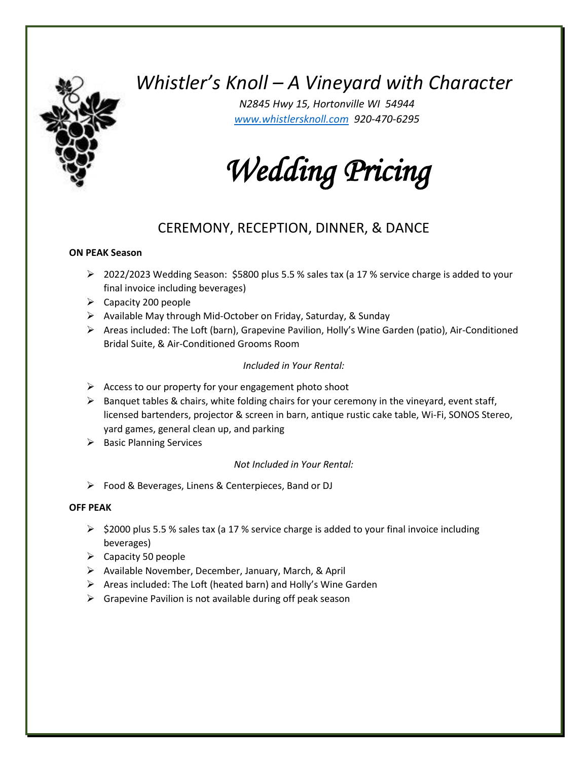# *Whistler's Knoll – A Vineyard with Character*

*N2845 Hwy 15, Hortonville WI 54944 [www.whistlersknoll.com](http://www.whistlersknoll.com/) 920-470-6295*

*Wedding Pricing* 

## CEREMONY, RECEPTION, DINNER, & DANCE

#### **ON PEAK Season**

- ➢ 2022/2023 Wedding Season: \$5800 plus 5.5 % sales tax (a 17 % service charge is added to your final invoice including beverages)
- $\triangleright$  Capacity 200 people
- ➢ Available May through Mid-October on Friday, Saturday, & Sunday
- ➢ Areas included: The Loft (barn), Grapevine Pavilion, Holly's Wine Garden (patio), Air-Conditioned Bridal Suite, & Air-Conditioned Grooms Room

#### *Included in Your Rental:*

- $\triangleright$  Access to our property for your engagement photo shoot
- ➢ Banquet tables & chairs, white folding chairs for your ceremony in the vineyard, event staff, licensed bartenders, projector & screen in barn, antique rustic cake table, Wi-Fi, SONOS Stereo, yard games, general clean up, and parking
- ➢ Basic Planning Services

#### *Not Included in Your Rental:*

➢ Food & Beverages, Linens & Centerpieces, Band or DJ

#### **OFF PEAK**

- $\triangleright$  \$2000 plus 5.5 % sales tax (a 17 % service charge is added to your final invoice including beverages)
- $\triangleright$  Capacity 50 people
- ➢ Available November, December, January, March, & April
- ➢ Areas included: The Loft (heated barn) and Holly's Wine Garden
- $\triangleright$  Grapevine Pavilion is not available during off peak season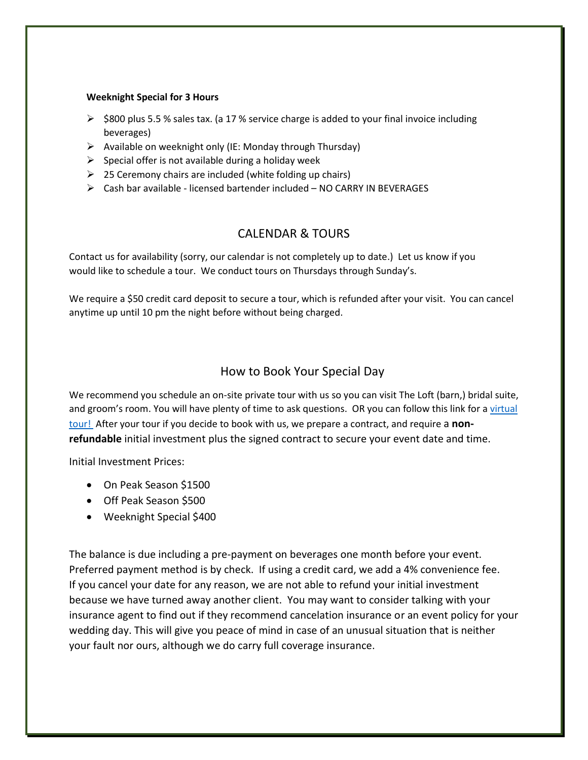#### **Weeknight Special for 3 Hours**

- $\triangleright$  \$800 plus 5.5 % sales tax. (a 17 % service charge is added to your final invoice including beverages)
- ➢ Available on weeknight only (IE: Monday through Thursday)
- $\triangleright$  Special offer is not available during a holiday week
- $\geq$  25 Ceremony chairs are included (white folding up chairs)
- $\triangleright$  Cash bar available licensed bartender included NO CARRY IN BEVERAGES

### CALENDAR & TOURS

Contact us for availability (sorry, our calendar is not completely up to date.) Let us know if you would like to schedule a tour. We conduct tours on Thursdays through Sunday's.

We require a \$50 credit card deposit to secure a tour, which is refunded after your visit. You can cancel anytime up until 10 pm the night before without being charged.

#### How to Book Your Special Day

We recommend you schedule an on-site private tour with us so you can visit The Loft (barn,) bridal suite, and groom's room. You will have plenty of time to ask questions. OR you can follow this link for a virtual [tour!](https://my.matterport.com/show/?m=DRnKv1fBuze&fbclid=IwAR3E6a5reYL3qfglPK00erkoWgbB4DrpjY-nowscwzwZR31hHcoSYahtn3Y%20%20) After your tour if you decide to book with us, we prepare a contract, and require a **nonrefundable** initial investment plus the signed contract to secure your event date and time.

Initial Investment Prices:

- On Peak Season \$1500
- Off Peak Season \$500
- Weeknight Special \$400

The balance is due including a pre-payment on beverages one month before your event. Preferred payment method is by check. If using a credit card, we add a 4% convenience fee. If you cancel your date for any reason, we are not able to refund your initial investment because we have turned away another client. You may want to consider talking with your insurance agent to find out if they recommend cancelation insurance or an event policy for your wedding day. This will give you peace of mind in case of an unusual situation that is neither your fault nor ours, although we do carry full coverage insurance.